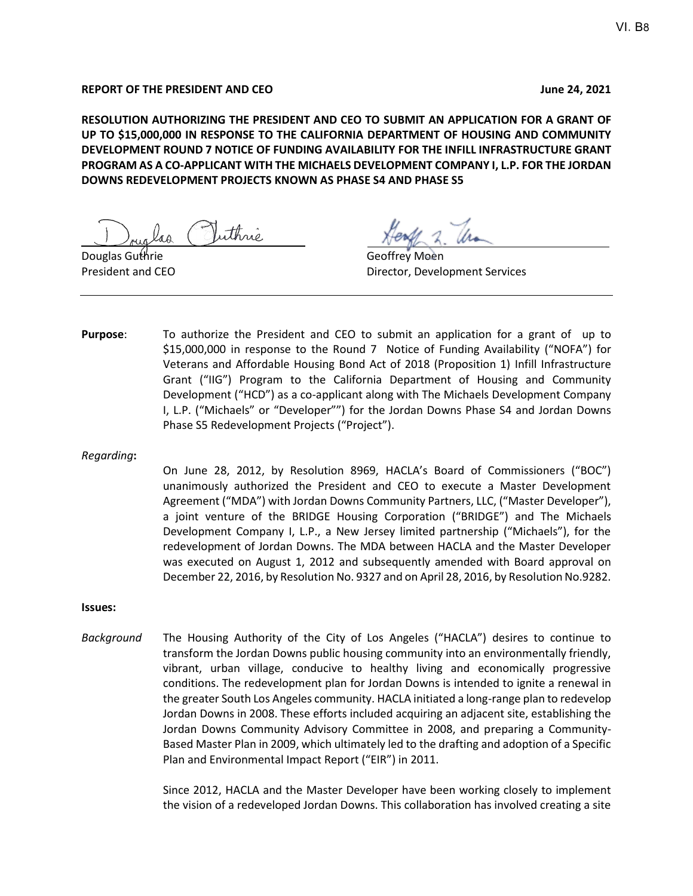#### **REPORT OF THE PRESIDENT AND CEO June 24, 2021**

**RESOLUTION AUTHORIZING THE PRESIDENT AND CEO TO SUBMIT AN APPLICATION FOR A GRANT OF UP TO \$15,000,000 IN RESPONSE TO THE CALIFORNIA DEPARTMENT OF HOUSING AND COMMUNITY DEVELOPMENT ROUND 7 NOTICE OF FUNDING AVAILABILITY FOR THE INFILL INFRASTRUCTURE GRANT PROGRAM AS A CO-APPLICANT WITH THE MICHAELS DEVELOPMENT COMPANY I, L.P. FOR THE JORDAN DOWNS REDEVELOPMENT PROJECTS KNOWN AS PHASE S4 AND PHASE S5**

Douglas Guthrie Geoffrey Moen

President and CEO **Director, Development Services** 

**Purpose**: To authorize the President and CEO to submit an application for a grant of up to \$15,000,000 in response to the Round 7 Notice of Funding Availability ("NOFA") for Veterans and Affordable Housing Bond Act of 2018 (Proposition 1) Infill Infrastructure Grant ("IIG") Program to the California Department of Housing and Community Development ("HCD") as a co-applicant along with The Michaels Development Company I, L.P. ("Michaels" or "Developer"") for the Jordan Downs Phase S4 and Jordan Downs Phase S5 Redevelopment Projects ("Project").

#### *Regarding***:**

On June 28, 2012, by Resolution 8969, HACLA's Board of Commissioners ("BOC") unanimously authorized the President and CEO to execute a Master Development Agreement ("MDA") with Jordan Downs Community Partners, LLC, ("Master Developer"), a joint venture of the BRIDGE Housing Corporation ("BRIDGE") and The Michaels Development Company I, L.P., a New Jersey limited partnership ("Michaels"), for the redevelopment of Jordan Downs. The MDA between HACLA and the Master Developer was executed on August 1, 2012 and subsequently amended with Board approval on December 22, 2016, by Resolution No. 9327 and on April 28, 2016, by Resolution No.9282.

#### **Issues:**

*Background*The Housing Authority of the City of Los Angeles ("HACLA") desires to continue to transform the Jordan Downs public housing community into an environmentally friendly, vibrant, urban village, conducive to healthy living and economically progressive conditions. The redevelopment plan for Jordan Downs is intended to ignite a renewal in the greater South Los Angeles community. HACLA initiated a long-range plan to redevelop Jordan Downs in 2008. These efforts included acquiring an adjacent site, establishing the Jordan Downs Community Advisory Committee in 2008, and preparing a Community-Based Master Plan in 2009, which ultimately led to the drafting and adoption of a Specific Plan and Environmental Impact Report ("EIR") in 2011.

> Since 2012, HACLA and the Master Developer have been working closely to implement the vision of a redeveloped Jordan Downs. This collaboration has involved creating a site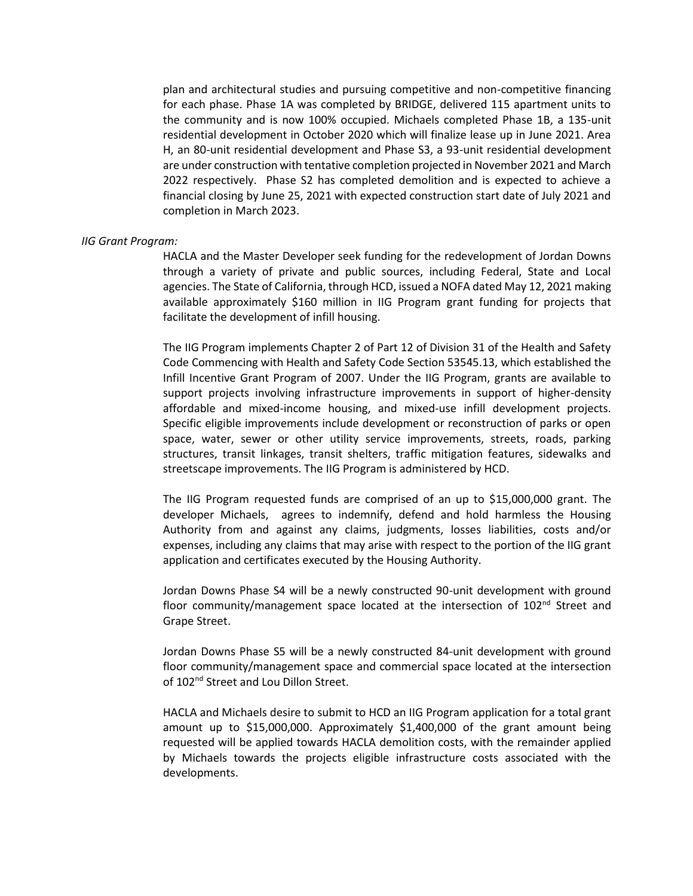plan and architectural studies and pursuing competitive and non-competitive financing for each phase. Phase 1A was completed by BRIDGE, delivered 115 apartment units to the community and is now 100% occupied. Michaels completed Phase 1B, a 135-unit residential development in October 2020 which will finalize lease up in June 2021. Area H, an 80-unit residential development and Phase S3, a 93-unit residential development are under construction with tentative completion projected in November 2021 and March 2022 respectively. Phase S2 has completed demolition and is expected to achieve a financial closing by June 25, 2021 with expected construction start date of July 2021 and completion in March 2023.

#### *IIG Grant Program:*

HACLA and the Master Developer seek funding for the redevelopment of Jordan Downs through a variety of private and public sources, including Federal, State and Local agencies. The State of California, through HCD, issued a NOFA dated May 12, 2021 making available approximately \$160 million in IIG Program grant funding for projects that facilitate the development of infill housing.

The IIG Program implements Chapter 2 of Part 12 of Division 31 of the Health and Safety Code Commencing with Health and Safety Code Section 53545.13, which established the Infill Incentive Grant Program of 2007. Under the IIG Program, grants are available to support projects involving infrastructure improvements in support of higher-density affordable and mixed-income housing, and mixed-use infill development projects. Specific eligible improvements include development or reconstruction of parks or open space, water, sewer or other utility service improvements, streets, roads, parking structures, transit linkages, transit shelters, traffic mitigation features, sidewalks and streetscape improvements. The IIG Program is administered by HCD.

The IIG Program requested funds are comprised of an up to \$15,000,000 grant. The developer Michaels, agrees to indemnify, defend and hold harmless the Housing Authority from and against any claims, judgments, losses liabilities, costs and/or expenses, including any claims that may arise with respect to the portion of the IIG grant application and certificates executed by the Housing Authority.

Jordan Downs Phase S4 will be a newly constructed 90-unit development with ground floor community/management space located at the intersection of  $102<sup>nd</sup>$  Street and Grape Street.

Jordan Downs Phase S5 will be a newly constructed 84-unit development with ground floor community/management space and commercial space located at the intersection of 102<sup>nd</sup> Street and Lou Dillon Street.

HACLA and Michaels desire to submit to HCD an IIG Program application for a total grant amount up to \$15,000,000. Approximately \$1,400,000 of the grant amount being requested will be applied towards HACLA demolition costs, with the remainder applied by Michaels towards the projects eligible infrastructure costs associated with the developments.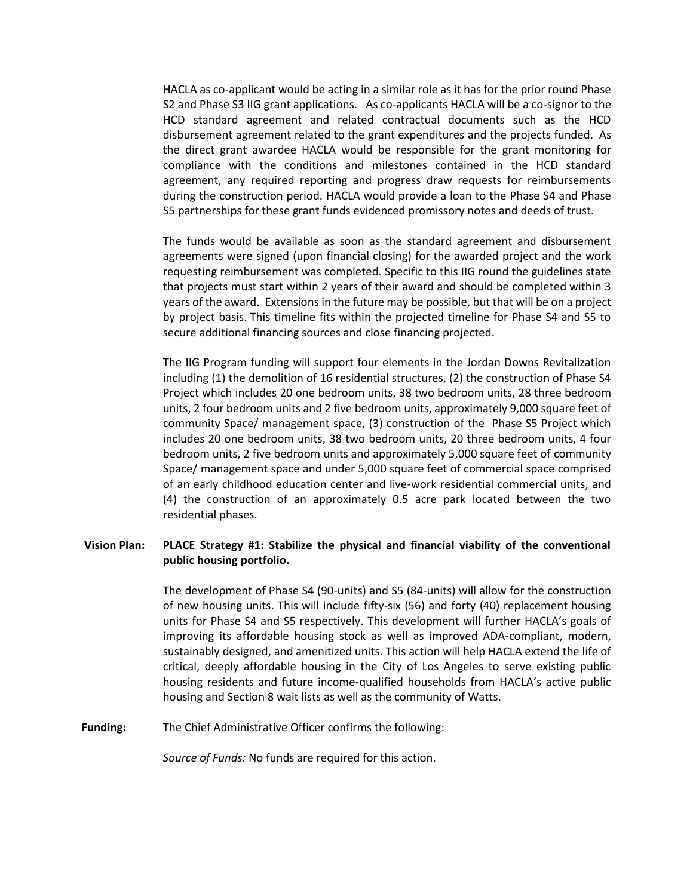HACLA as co-applicant would be acting in a similar role as it has for the prior round Phase S2 and Phase S3 IIG grant applications. As co-applicants HACLA will be a co-signor to the HCD standard agreement and related contractual documents such as the HCD disbursement agreement related to the grant expenditures and the projects funded. As the direct grant awardee HACLA would be responsible for the grant monitoring for compliance with the conditions and milestones contained in the HCD standard agreement, any required reporting and progress draw requests for reimbursements during the construction period. HACLA would provide a loan to the Phase S4 and Phase S5 partnerships for these grant funds evidenced promissory notes and deeds of trust.

The funds would be available as soon as the standard agreement and disbursement agreements were signed (upon financial closing) for the awarded project and the work requesting reimbursement was completed. Specific to this IIG round the guidelines state that projects must start within 2 years of their award and should be completed within 3 years of the award. Extensions in the future may be possible, but that will be on a project by project basis. This timeline fits within the projected timeline for Phase S4 and S5 to secure additional financing sources and close financing projected.

The IIG Program funding will support four elements in the Jordan Downs Revitalization including (1) the demolition of 16 residential structures, (2) the construction of Phase S4 Project which includes 20 one bedroom units, 38 two bedroom units, 28 three bedroom units, 2 four bedroom units and 2 five bedroom units, approximately 9,000 square feet of community Space/ management space, (3) construction of the Phase S5 Project which includes 20 one bedroom units, 38 two bedroom units, 20 three bedroom units, 4 four bedroom units, 2 five bedroom units and approximately 5,000 square feet of community Space/ management space and under 5,000 square feet of commercial space comprised of an early childhood education center and live-work residential commercial units, and (4) the construction of an approximately 0.5 acre park located between the two residential phases.

## **Vision Plan: PLACE Strategy #1: Stabilize the physical and financial viability of the conventional public housing portfolio.**

The development of Phase S4 (90-units) and S5 (84-units) will allow for the construction of new housing units. This will include fifty-six (56) and forty (40) replacement housing units for Phase S4 and S5 respectively. This development will further HACLA's goals of improving its affordable housing stock as well as improved ADA-compliant, modern, sustainably designed, and amenitized units. This action will help HACLA extend the life of critical, deeply affordable housing in the City of Los Angeles to serve existing public housing residents and future income-qualified households from HACLA's active public housing and Section 8 wait lists as well as the community of Watts.

**Funding:** The Chief Administrative Officer confirms the following:

*Source of Funds:* No funds are required for this action.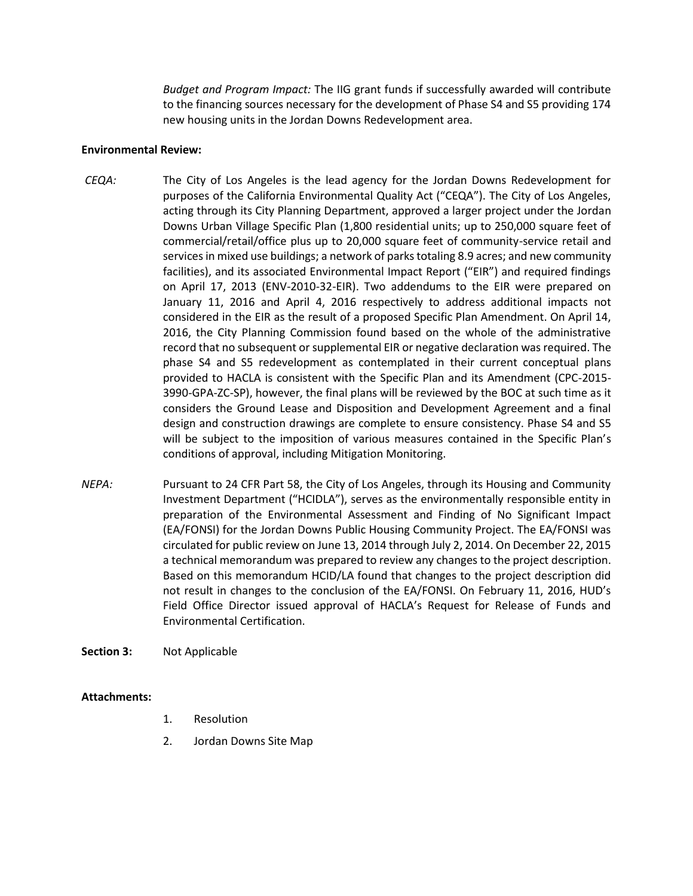*Budget and Program Impact:* The IIG grant funds if successfully awarded will contribute to the financing sources necessary for the development of Phase S4 and S5 providing 174 new housing units in the Jordan Downs Redevelopment area.

### **Environmental Review:**

- *CEQA:* The City of Los Angeles is the lead agency for the Jordan Downs Redevelopment for purposes of the California Environmental Quality Act ("CEQA"). The City of Los Angeles, acting through its City Planning Department, approved a larger project under the Jordan Downs Urban Village Specific Plan (1,800 residential units; up to 250,000 square feet of commercial/retail/office plus up to 20,000 square feet of community-service retail and services in mixed use buildings; a network of parks totaling 8.9 acres; and new community facilities), and its associated Environmental Impact Report ("EIR") and required findings on April 17, 2013 (ENV-2010-32-EIR). Two addendums to the EIR were prepared on January 11, 2016 and April 4, 2016 respectively to address additional impacts not considered in the EIR as the result of a proposed Specific Plan Amendment. On April 14, 2016, the City Planning Commission found based on the whole of the administrative record that no subsequent or supplemental EIR or negative declaration was required. The phase S4 and S5 redevelopment as contemplated in their current conceptual plans provided to HACLA is consistent with the Specific Plan and its Amendment (CPC-2015- 3990-GPA-ZC-SP), however, the final plans will be reviewed by the BOC at such time as it considers the Ground Lease and Disposition and Development Agreement and a final design and construction drawings are complete to ensure consistency. Phase S4 and S5 will be subject to the imposition of various measures contained in the Specific Plan's conditions of approval, including Mitigation Monitoring.
- *NEPA:* Pursuant to 24 CFR Part 58, the City of Los Angeles, through its Housing and Community Investment Department ("HCIDLA"), serves as the environmentally responsible entity in preparation of the Environmental Assessment and Finding of No Significant Impact (EA/FONSI) for the Jordan Downs Public Housing Community Project. The EA/FONSI was circulated for public review on June 13, 2014 through July 2, 2014. On December 22, 2015 a technical memorandum was prepared to review any changes to the project description. Based on this memorandum HCID/LA found that changes to the project description did not result in changes to the conclusion of the EA/FONSI. On February 11, 2016, HUD's Field Office Director issued approval of HACLA's Request for Release of Funds and Environmental Certification.

#### **Section 3:** Not Applicable

## **Attachments:**

- 1. Resolution
- 2. Jordan Downs Site Map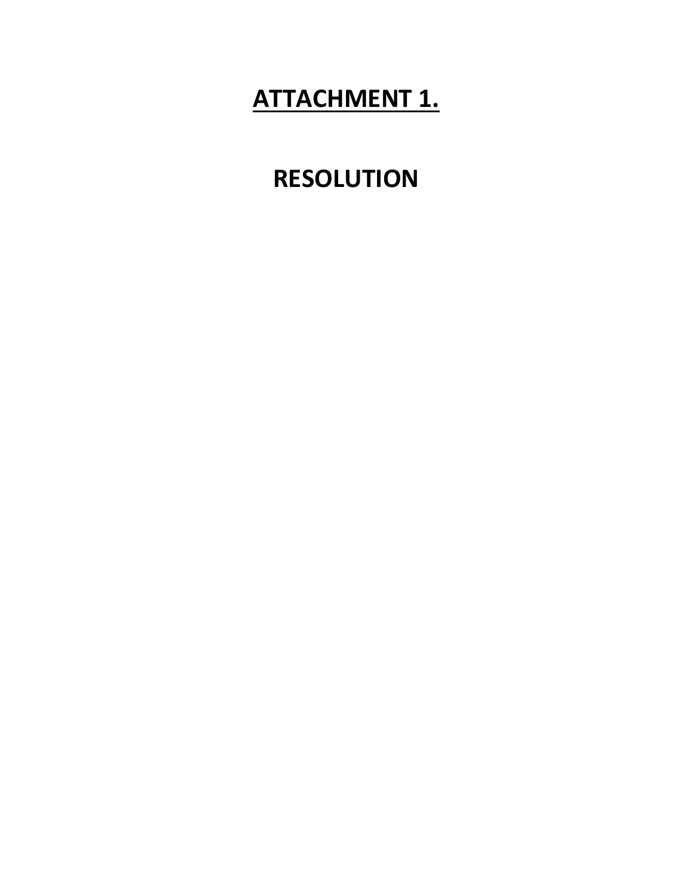# **ATTACHMENT 1.**

# **RESOLUTION**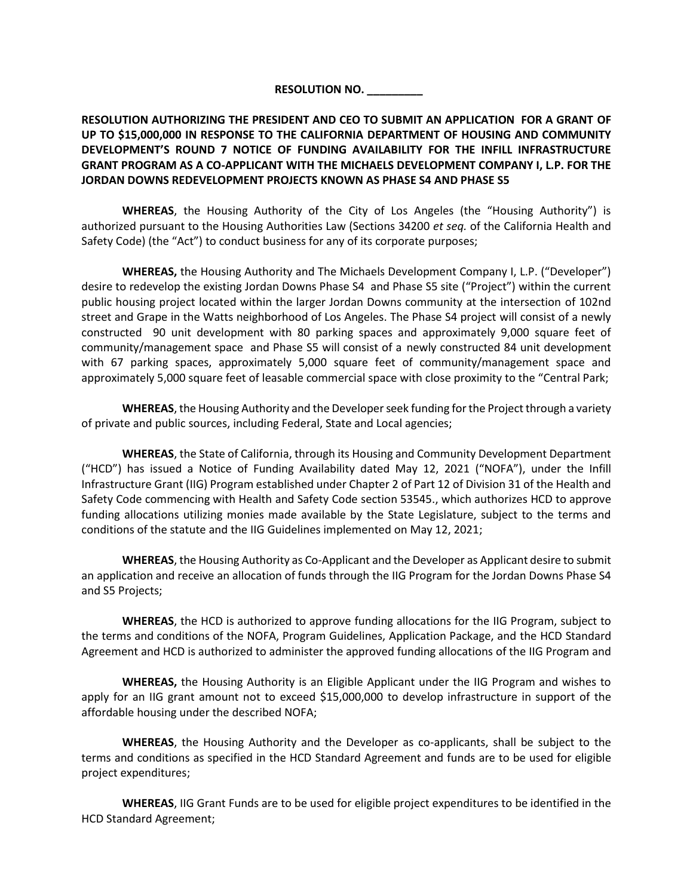## **RESOLUTION NO. \_\_\_\_\_\_\_\_\_**

**RESOLUTION AUTHORIZING THE PRESIDENT AND CEO TO SUBMIT AN APPLICATION FOR A GRANT OF UP TO \$15,000,000 IN RESPONSE TO THE CALIFORNIA DEPARTMENT OF HOUSING AND COMMUNITY DEVELOPMENT'S ROUND 7 NOTICE OF FUNDING AVAILABILITY FOR THE INFILL INFRASTRUCTURE GRANT PROGRAM AS A CO-APPLICANT WITH THE MICHAELS DEVELOPMENT COMPANY I, L.P. FOR THE JORDAN DOWNS REDEVELOPMENT PROJECTS KNOWN AS PHASE S4 AND PHASE S5**

**WHEREAS**, the Housing Authority of the City of Los Angeles (the "Housing Authority") is authorized pursuant to the Housing Authorities Law (Sections 34200 *et seq.* of the California Health and Safety Code) (the "Act") to conduct business for any of its corporate purposes;

**WHEREAS,** the Housing Authority and The Michaels Development Company I, L.P. ("Developer") desire to redevelop the existing Jordan Downs Phase S4 and Phase S5 site ("Project") within the current public housing project located within the larger Jordan Downs community at the intersection of 102nd street and Grape in the Watts neighborhood of Los Angeles. The Phase S4 project will consist of a newly constructed 90 unit development with 80 parking spaces and approximately 9,000 square feet of community/management space and Phase S5 will consist of a newly constructed 84 unit development with 67 parking spaces, approximately 5,000 square feet of community/management space and approximately 5,000 square feet of leasable commercial space with close proximity to the "Central Park;

**WHEREAS**, the Housing Authority and the Developer seek funding for the Project through a variety of private and public sources, including Federal, State and Local agencies;

**WHEREAS**, the State of California, through its Housing and Community Development Department ("HCD") has issued a Notice of Funding Availability dated May 12, 2021 ("NOFA"), under the Infill Infrastructure Grant (IIG) Program established under Chapter 2 of Part 12 of Division 31 of the Health and Safety Code commencing with Health and Safety Code section 53545., which authorizes HCD to approve funding allocations utilizing monies made available by the State Legislature, subject to the terms and conditions of the statute and the IIG Guidelines implemented on May 12, 2021;

**WHEREAS**, the Housing Authority as Co-Applicant and the Developer as Applicant desire to submit an application and receive an allocation of funds through the IIG Program for the Jordan Downs Phase S4 and S5 Projects;

**WHEREAS**, the HCD is authorized to approve funding allocations for the IIG Program, subject to the terms and conditions of the NOFA, Program Guidelines, Application Package, and the HCD Standard Agreement and HCD is authorized to administer the approved funding allocations of the IIG Program and

**WHEREAS,** the Housing Authority is an Eligible Applicant under the IIG Program and wishes to apply for an IIG grant amount not to exceed \$15,000,000 to develop infrastructure in support of the affordable housing under the described NOFA;

**WHEREAS**, the Housing Authority and the Developer as co-applicants, shall be subject to the terms and conditions as specified in the HCD Standard Agreement and funds are to be used for eligible project expenditures;

**WHEREAS**, IIG Grant Funds are to be used for eligible project expenditures to be identified in the HCD Standard Agreement;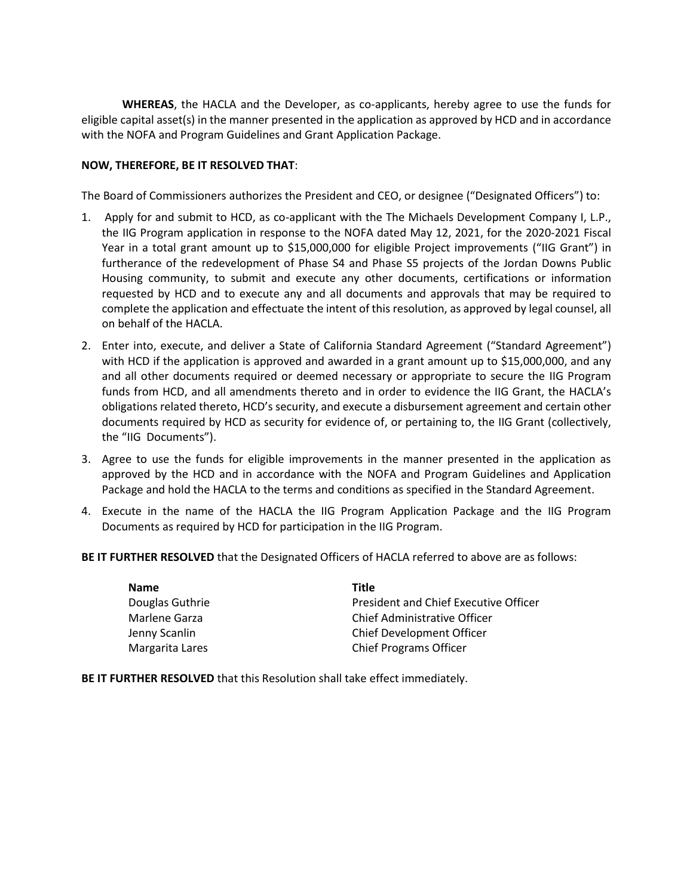**WHEREAS**, the HACLA and the Developer, as co-applicants, hereby agree to use the funds for eligible capital asset(s) in the manner presented in the application as approved by HCD and in accordance with the NOFA and Program Guidelines and Grant Application Package.

### **NOW, THEREFORE, BE IT RESOLVED THAT**:

The Board of Commissioners authorizes the President and CEO, or designee ("Designated Officers") to:

- 1. Apply for and submit to HCD, as co-applicant with the The Michaels Development Company I, L.P., the IIG Program application in response to the NOFA dated May 12, 2021, for the 2020-2021 Fiscal Year in a total grant amount up to \$15,000,000 for eligible Project improvements ("IIG Grant") in furtherance of the redevelopment of Phase S4 and Phase S5 projects of the Jordan Downs Public Housing community, to submit and execute any other documents, certifications or information requested by HCD and to execute any and all documents and approvals that may be required to complete the application and effectuate the intent of this resolution, as approved by legal counsel, all on behalf of the HACLA.
- 2. Enter into, execute, and deliver a State of California Standard Agreement ("Standard Agreement") with HCD if the application is approved and awarded in a grant amount up to \$15,000,000, and any and all other documents required or deemed necessary or appropriate to secure the IIG Program funds from HCD, and all amendments thereto and in order to evidence the IIG Grant, the HACLA's obligations related thereto, HCD's security, and execute a disbursement agreement and certain other documents required by HCD as security for evidence of, or pertaining to, the IIG Grant (collectively, the "IIG Documents").
- 3. Agree to use the funds for eligible improvements in the manner presented in the application as approved by the HCD and in accordance with the NOFA and Program Guidelines and Application Package and hold the HACLA to the terms and conditions as specified in the Standard Agreement.
- 4. Execute in the name of the HACLA the IIG Program Application Package and the IIG Program Documents as required by HCD for participation in the IIG Program.

**BE IT FURTHER RESOLVED** that the Designated Officers of HACLA referred to above are as follows:

| <b>Name</b>     | Title                                 |
|-----------------|---------------------------------------|
| Douglas Guthrie | President and Chief Executive Officer |
| Marlene Garza   | Chief Administrative Officer          |
| Jenny Scanlin   | Chief Development Officer             |
| Margarita Lares | <b>Chief Programs Officer</b>         |

**BE IT FURTHER RESOLVED** that this Resolution shall take effect immediately.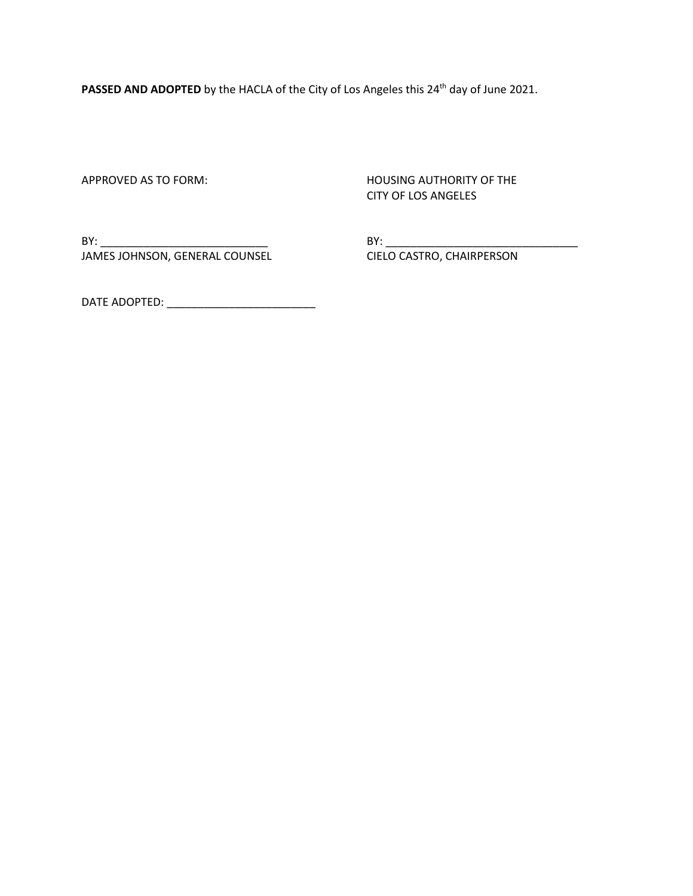PASSED AND ADOPTED by the HACLA of the City of Los Angeles this 24<sup>th</sup> day of June 2021.

APPROVED AS TO FORM: NOW THE HOUSING AUTHORITY OF THE CITY OF LOS ANGELES

BY: \_\_\_\_\_\_\_\_\_\_\_\_\_\_\_\_\_\_\_\_\_\_\_\_\_\_\_ BY: \_\_\_\_\_\_\_\_\_\_\_\_\_\_\_\_\_\_\_\_\_\_\_\_\_\_\_\_\_\_\_ JAMES JOHNSON, GENERAL COUNSEL CIELO CASTRO, CHAIRPERSON

DATE ADOPTED: \_\_\_\_\_\_\_\_\_\_\_\_\_\_\_\_\_\_\_\_\_\_\_\_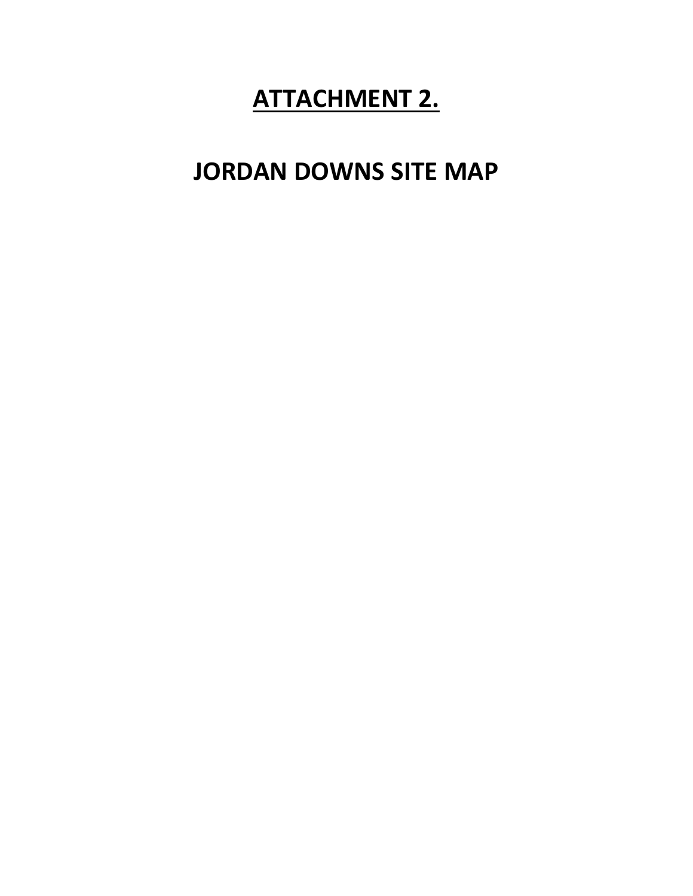# **ATTACHMENT 2.**

## **JORDAN DOWNS SITE MAP**